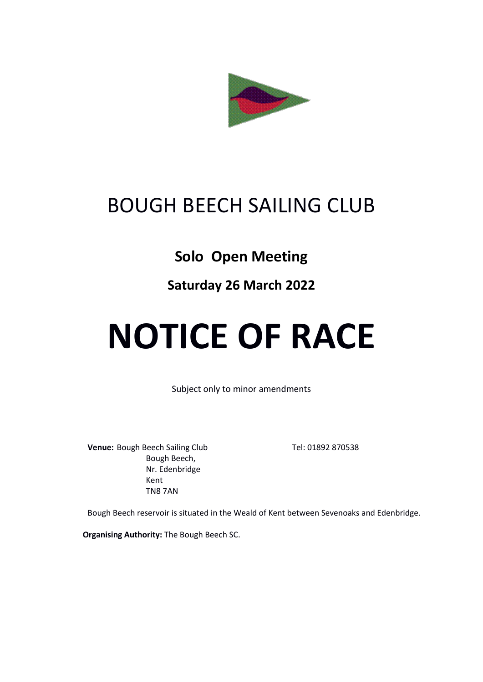

## BOUGH BEECH SAILING CLUB

## **Solo Open Meeting**

## **Saturday 26 March 2022**

# **NOTICE OF RACE**

Subject only to minor amendments

**Venue:** Bough Beech Sailing Club Tel: 01892 870538 Bough Beech, Nr. Edenbridge Kent TN8 7AN

Bough Beech reservoir is situated in the Weald of Kent between Sevenoaks and Edenbridge.

**Organising Authority:** The Bough Beech SC.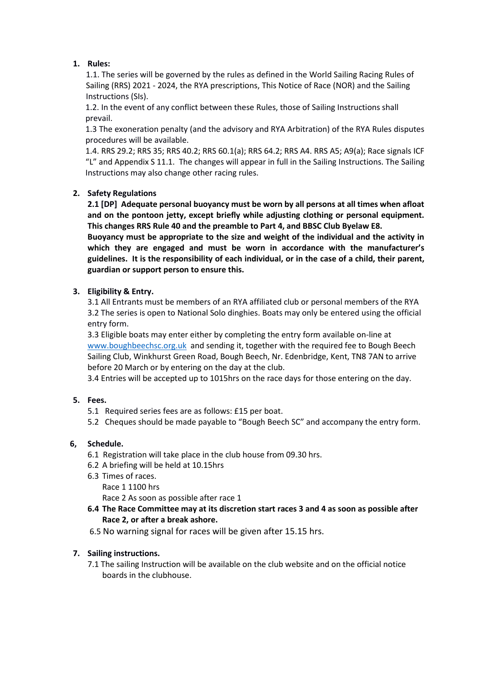#### **1. Rules:**

1.1. The series will be governed by the rules as defined in the World Sailing Racing Rules of Sailing (RRS) 2021 - 2024, the RYA prescriptions, This Notice of Race (NOR) and the Sailing Instructions (SIs).

1.2. In the event of any conflict between these Rules, those of Sailing Instructions shall prevail.

1.3 The exoneration penalty (and the advisory and RYA Arbitration) of the RYA Rules disputes procedures will be available.

1.4. RRS 29.2; RRS 35; RRS 40.2; RRS 60.1(a); RRS 64.2; RRS A4. RRS A5; A9(a); Race signals ICF "L" and Appendix S 11.1. The changes will appear in full in the Sailing Instructions. The Sailing Instructions may also change other racing rules.

#### **2. Safety Regulations**

**2.1 [DP] Adequate personal buoyancy must be worn by all persons at all times when afloat and on the pontoon jetty, except briefly while adjusting clothing or personal equipment. This changes RRS Rule 40 and the preamble to Part 4, and BBSC Club Byelaw E8.** 

**Buoyancy must be appropriate to the size and weight of the individual and the activity in which they are engaged and must be worn in accordance with the manufacturer's guidelines. It is the responsibility of each individual, or in the case of a child, their parent, guardian or support person to ensure this.** 

#### **3. Eligibility & Entry.**

3.1 All Entrants must be members of an RYA affiliated club or personal members of the RYA 3.2 The series is open to National Solo dinghies. Boats may only be entered using the official entry form.

3.3 Eligible boats may enter either by completing the entry form available on-line at [www.boughbeechsc.org.uk](http://www.boughbeechsc.org.uk/) and sending it, together with the required fee to Bough Beech Sailing Club, Winkhurst Green Road, Bough Beech, Nr. Edenbridge, Kent, TN8 7AN to arrive before 20 March or by entering on the day at the club.

3.4 Entries will be accepted up to 1015hrs on the race days for those entering on the day.

#### **5. Fees.**

- 5.1 Required series fees are as follows: £15 per boat.
- 5.2 Cheques should be made payable to "Bough Beech SC" and accompany the entry form.

#### **6, Schedule.**

- 6.1 Registration will take place in the club house from 09.30 hrs.
- 6.2 A briefing will be held at 10.15hrs
- 6.3 Times of races.

Race 1 1100 hrs

Race 2 As soon as possible after race 1

- **6.4 The Race Committee may at its discretion start races 3 and 4 as soon as possible after Race 2, or after a break ashore.**
- 6.5 No warning signal for races will be given after 15.15 hrs.

#### **7. Sailing instructions.**

7.1 The sailing Instruction will be available on the club website and on the official notice boards in the clubhouse.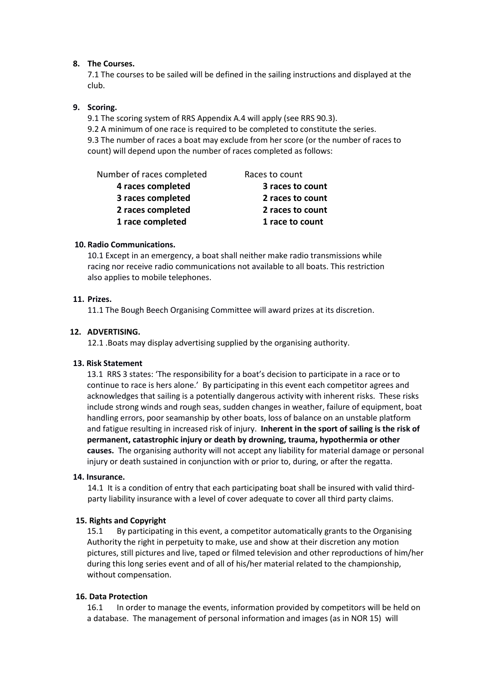#### **8. The Courses.**

7.1 The courses to be sailed will be defined in the sailing instructions and displayed at the club.

#### **9. Scoring.**

9.1 The scoring system of RRS Appendix A.4 will apply (see RRS 90.3).

9.2 A minimum of one race is required to be completed to constitute the series. 9.3 The number of races a boat may exclude from her score (or the number of races to count) will depend upon the number of races completed as follows:

Number of races completed Races to count

- **4 races completed 3 races to count**
- 
- 
- **1 race completed 1 race to count**

- **3 races completed 2 races to count 2 races completed 2 races to count**
	-

#### **10. Radio Communications.**

10.1 Except in an emergency, a boat shall neither make radio transmissions while racing nor receive radio communications not available to all boats. This restriction also applies to mobile telephones.

#### **11. Prizes.**

11.1 The Bough Beech Organising Committee will award prizes at its discretion.

#### **12. ADVERTISING.**

12.1 .Boats may display advertising supplied by the organising authority.

#### **13. Risk Statement**

13.1 RRS 3 states: 'The responsibility for a boat's decision to participate in a race or to continue to race is hers alone.' By participating in this event each competitor agrees and acknowledges that sailing is a potentially dangerous activity with inherent risks. These risks include strong winds and rough seas, sudden changes in weather, failure of equipment, boat handling errors, poor seamanship by other boats, loss of balance on an unstable platform and fatigue resulting in increased risk of injury. **Inherent in the sport of sailing is the risk of permanent, catastrophic injury or death by drowning, trauma, hypothermia or other causes.**The organising authority will not accept any liability for material damage or personal injury or death sustained in conjunction with or prior to, during, or after the regatta.

#### **14. Insurance.**

14.1 It is a condition of entry that each participating boat shall be insured with valid thirdparty liability insurance with a level of cover adequate to cover all third party claims.

#### **15. Rights and Copyright**

15.1 By participating in this event, a competitor automatically grants to the Organising Authority the right in perpetuity to make, use and show at their discretion any motion pictures, still pictures and live, taped or filmed television and other reproductions of him/her during this long series event and of all of his/her material related to the championship, without compensation.

#### **16. Data Protection**

16.1 In order to manage the events, information provided by competitors will be held on a database. The management of personal information and images (as in NOR 15) will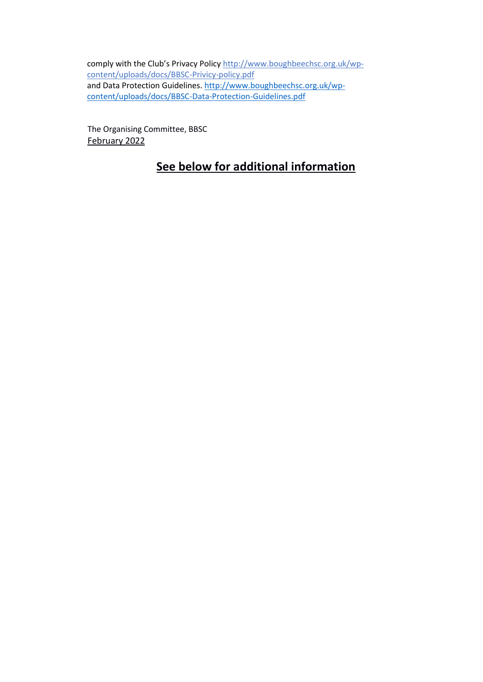comply with the Club's Privacy Policy [http://www.boughbeechsc.org.uk/wp](http://www.boughbeechsc.org.uk/wp-content/uploads/docs/BBSC-Privicy-policy.pdf)[content/uploads/docs/BBSC-Privicy-policy.pdf](http://www.boughbeechsc.org.uk/wp-content/uploads/docs/BBSC-Privicy-policy.pdf) and Data Protection Guidelines. [http://www.boughbeechsc.org.uk/wp](http://www.boughbeechsc.org.uk/wp-content/uploads/docs/BBSC-Data-Protection-Guidelines.pdf)[content/uploads/docs/BBSC-Data-Protection-Guidelines.pdf](http://www.boughbeechsc.org.uk/wp-content/uploads/docs/BBSC-Data-Protection-Guidelines.pdf)

The Organising Committee, BBSC February 2022

### **See below for additional information**